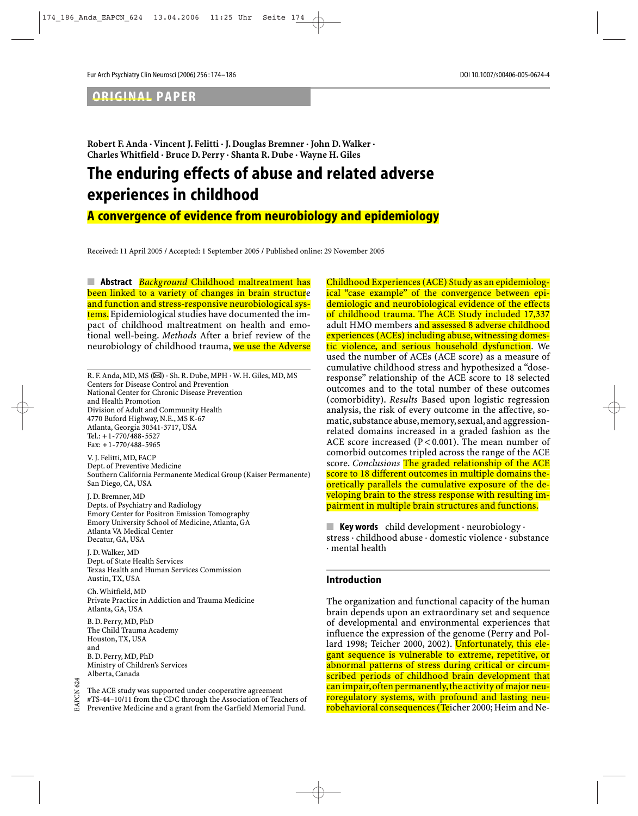# ORIGINAL PAPER

**Robert F. Anda · Vincent J. Felitti · J. Douglas Bremner · John D. Walker · Charles Whitfield · Bruce D. Perry · Shanta R. Dube · Wayne H. Giles**

# The enduring effects of abuse and related adverse experiences in childhood

# A convergence of evidence from neurobiology and epidemiology

Received: 11 April 2005 / Accepted: 1 September 2005 / Published online: 29 November 2005

■ Abstract *Background* Childhood maltreatment has been linked to a variety of changes in brain structure and function and stress-responsive neurobiological systems. Epidemiological studies have documented the impact of childhood maltreatment on health and emotional well-being. *Methods* After a brief review of the neurobiology of childhood trauma, we use the Adverse

R. F. Anda, MD, MS  $(\boxtimes)$  · Sh. R. Dube, MPH · W. H. Giles, MD, MS Centers for Disease Control and Prevention National Center for Chronic Disease Prevention and Health Promotion Division of Adult and Community Health 4770 Buford Highway, N.E., MS K-67 Atlanta, Georgia 30341-3717, USA Tel.: +1-770/488-5527 Fax: +1-770/488-5965

V. J. Felitti, MD, FACP Dept. of Preventive Medicine Southern California Permanente Medical Group (Kaiser Permanente) San Diego, CA, USA

#### J. D. Bremner, MD

Depts. of Psychiatry and Radiology Emory Center for Positron Emission Tomography Emory University School of Medicine, Atlanta, GA Atlanta VA Medical Center Decatur, GA, USA

J. D. Walker, MD Dept. of State Health Services Texas Health and Human Services Commission Austin, TX, USA

Ch. Whitfield, MD Private Practice in Addiction and Trauma Medicine Atlanta, GA, USA

B. D. Perry, MD, PhD The Child Trauma Academy Houston, TX, USA and B. D. Perry, MD, PhD Ministry of Children's Services Alberta, Canada

The ACE study was supported under cooperative agreement #TS-44–10/11 from the CDC through the Association of Teachers of Preventive Medicine and a grant from the Garfield Memorial Fund. Childhood Experiences (ACE) Study as an epidemiological "case example" of the convergence between epidemiologic and neurobiological evidence of the effects of childhood trauma. The ACE Study included 17,337 adult HMO members and assessed 8 adverse childhood experiences (ACEs) including abuse, witnessing domestic violence, and serious household dysfunction. We used the number of ACEs (ACE score) as a measure of cumulative childhood stress and hypothesized a "doseresponse" relationship of the ACE score to 18 selected outcomes and to the total number of these outcomes (comorbidity). *Results* Based upon logistic regression analysis, the risk of every outcome in the affective, somatic, substance abuse, memory, sexual, and aggressionrelated domains increased in a graded fashion as the ACE score increased ( $P < 0.001$ ). The mean number of comorbid outcomes tripled across the range of the ACE score. *Conclusions* The graded relationship of the ACE score to 18 different outcomes in multiple domains theoretically parallels the cumulative exposure of the developing brain to the stress response with resulting impairment in multiple brain structures and functions.

**E** Key words child development  $\cdot$  neurobiology  $\cdot$ stress · childhood abuse · domestic violence · substance · mental health

# Introduction

The organization and functional capacity of the human brain depends upon an extraordinary set and sequence of developmental and environmental experiences that influence the expression of the genome (Perry and Pollard 1998; Teicher 2000, 2002). Unfortunately, this elegant sequence is vulnerable to extreme, repetitive, or abnormal patterns of stress during critical or circumscribed periods of childhood brain development that can impair,often permanently,the activity of major neuroregulatory systems, with profound and lasting neurobehavioral consequences (Teicher 2000; Heim and Ne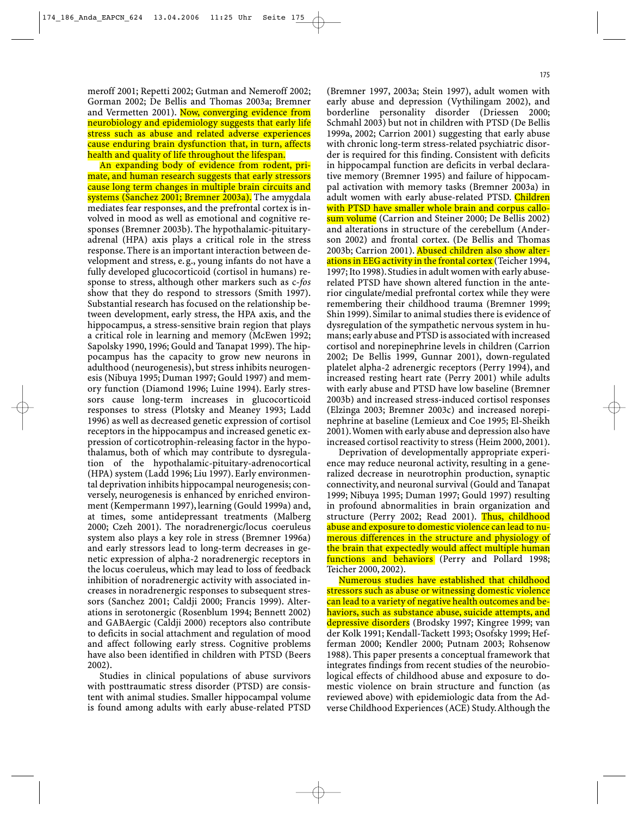meroff 2001; Repetti 2002; Gutman and Nemeroff 2002; Gorman 2002; De Bellis and Thomas 2003a; Bremner and Vermetten 2001). Now, converging evidence from neurobiology and epidemiology suggests that early life stress such as abuse and related adverse experiences cause enduring brain dysfunction that, in turn, affects health and quality of life throughout the lifespan.

An expanding body of evidence from rodent, primate, and human research suggests that early stressors cause long term changes in multiple brain circuits and systems (Sanchez 2001; Bremner 2003a). The amygdala mediates fear responses, and the prefrontal cortex is involved in mood as well as emotional and cognitive responses (Bremner 2003b). The hypothalamic-pituitaryadrenal (HPA) axis plays a critical role in the stress response. There is an important interaction between development and stress, e. g., young infants do not have a fully developed glucocorticoid (cortisol in humans) response to stress, although other markers such as c-*fos* show that they do respond to stressors (Smith 1997). Substantial research has focused on the relationship between development, early stress, the HPA axis, and the hippocampus, a stress-sensitive brain region that plays a critical role in learning and memory (McEwen 1992; Sapolsky 1990, 1996; Gould and Tanapat 1999). The hippocampus has the capacity to grow new neurons in adulthood (neurogenesis), but stress inhibits neurogenesis (Nibuya 1995; Duman 1997; Gould 1997) and memory function (Diamond 1996; Luine 1994). Early stressors cause long-term increases in glucocorticoid responses to stress (Plotsky and Meaney 1993; Ladd 1996) as well as decreased genetic expression of cortisol receptors in the hippocampus and increased genetic expression of corticotrophin-releasing factor in the hypothalamus, both of which may contribute to dysregulation of the hypothalamic-pituitary-adrenocortical (HPA) system (Ladd 1996; Liu 1997). Early environmental deprivation inhibits hippocampal neurogenesis; conversely, neurogenesis is enhanced by enriched environment (Kempermann 1997), learning (Gould 1999a) and, at times, some antidepressant treatments (Malberg 2000; Czeh 2001). The noradrenergic/locus coeruleus system also plays a key role in stress (Bremner 1996a) and early stressors lead to long-term decreases in genetic expression of alpha-2 noradrenergic receptors in the locus coeruleus, which may lead to loss of feedback inhibition of noradrenergic activity with associated increases in noradrenergic responses to subsequent stressors (Sanchez 2001; Caldji 2000; Francis 1999). Alterations in serotonergic (Rosenblum 1994; Bennett 2002) and GABAergic (Caldji 2000) receptors also contribute to deficits in social attachment and regulation of mood and affect following early stress. Cognitive problems have also been identified in children with PTSD (Beers 2002).

Studies in clinical populations of abuse survivors with posttraumatic stress disorder (PTSD) are consistent with animal studies. Smaller hippocampal volume is found among adults with early abuse-related PTSD (Bremner 1997, 2003a; Stein 1997), adult women with early abuse and depression (Vythilingam 2002), and borderline personality disorder (Driessen 2000; Schmahl 2003) but not in children with PTSD (De Bellis 1999a, 2002; Carrion 2001) suggesting that early abuse with chronic long-term stress-related psychiatric disorder is required for this finding. Consistent with deficits in hippocampal function are deficits in verbal declarative memory (Bremner 1995) and failure of hippocampal activation with memory tasks (Bremner 2003a) in adult women with early abuse-related PTSD. Children with PTSD have smaller whole brain and corpus callosum volume (Carrion and Steiner 2000; De Bellis 2002) and alterations in structure of the cerebellum (Anderson 2002) and frontal cortex. (De Bellis and Thomas 2003b; Carrion 2001). Abused children also show alterations in EEG activity in the frontal cortex (Teicher 1994, 1997; Ito 1998).Studies in adult women with early abuserelated PTSD have shown altered function in the anterior cingulate/medial prefrontal cortex while they were remembering their childhood trauma (Bremner 1999; Shin 1999). Similar to animal studies there is evidence of dysregulation of the sympathetic nervous system in humans; early abuse and PTSD is associated with increased cortisol and norepinephrine levels in children (Carrion 2002; De Bellis 1999, Gunnar 2001), down-regulated platelet alpha-2 adrenergic receptors (Perry 1994), and increased resting heart rate (Perry 2001) while adults with early abuse and PTSD have low baseline (Bremner 2003b) and increased stress-induced cortisol responses (Elzinga 2003; Bremner 2003c) and increased norepinephrine at baseline (Lemieux and Coe 1995; El-Sheikh 2001).Women with early abuse and depression also have increased cortisol reactivity to stress (Heim 2000, 2001).

Deprivation of developmentally appropriate experience may reduce neuronal activity, resulting in a generalized decrease in neurotrophin production, synaptic connectivity, and neuronal survival (Gould and Tanapat 1999; Nibuya 1995; Duman 1997; Gould 1997) resulting in profound abnormalities in brain organization and structure (Perry 2002; Read 2001). Thus, childhood abuse and exposure to domestic violence can lead to numerous differences in the structure and physiology of the brain that expectedly would affect multiple human functions and behaviors (Perry and Pollard 1998; Teicher 2000, 2002).

Numerous studies have established that childhood stressors such as abuse or witnessing domestic violence can lead to a variety of negative health outcomes and behaviors, such as substance abuse, suicide attempts, and depressive disorders (Brodsky 1997; Kingree 1999; van der Kolk 1991; Kendall-Tackett 1993; Osofsky 1999; Hefferman 2000; Kendler 2000; Putnam 2003; Rohsenow 1988). This paper presents a conceptual framework that integrates findings from recent studies of the neurobiological effects of childhood abuse and exposure to domestic violence on brain structure and function (as reviewed above) with epidemiologic data from the Adverse Childhood Experiences (ACE) Study.Although the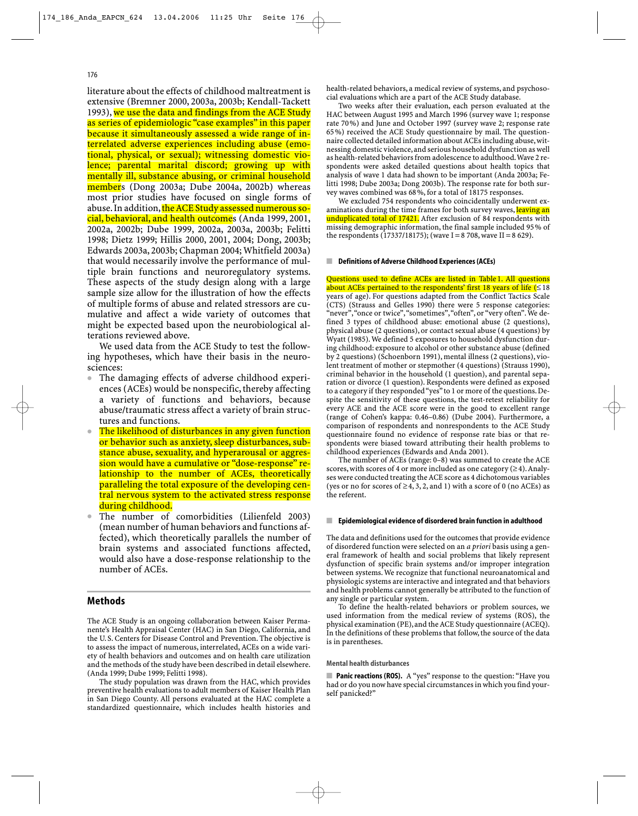literature about the effects of childhood maltreatment is extensive (Bremner 2000, 2003a, 2003b; Kendall-Tackett 1993), we use the data and findings from the ACE Study as series of epidemiologic "case examples" in this paper because it simultaneously assessed a wide range of interrelated adverse experiences including abuse (emotional, physical, or sexual); witnessing domestic violence; parental marital discord; growing up with mentally ill, substance abusing, or criminal household members (Dong 2003a; Dube 2004a, 2002b) whereas most prior studies have focused on single forms of abuse. In addition, the ACE Study assessed numerous social, behavioral, and health outcomes (Anda 1999, 2001, 2002a, 2002b; Dube 1999, 2002a, 2003a, 2003b; Felitti 1998; Dietz 1999; Hillis 2000, 2001, 2004; Dong, 2003b; Edwards 2003a, 2003b; Chapman 2004; Whitfield 2003a) that would necessarily involve the performance of multiple brain functions and neuroregulatory systems. These aspects of the study design along with a large sample size allow for the illustration of how the effects of multiple forms of abuse and related stressors are cumulative and affect a wide variety of outcomes that might be expected based upon the neurobiological alterations reviewed above.

We used data from the ACE Study to test the following hypotheses, which have their basis in the neurosciences:

- The damaging effects of adverse childhood experiences (ACEs) would be nonspecific, thereby affecting a variety of functions and behaviors, because abuse/traumatic stress affect a variety of brain structures and functions.
- - The likelihood of disturbances in any given function or behavior such as anxiety, sleep disturbances, substance abuse, sexuality, and hyperarousal or aggression would have a cumulative or "dose-response" relationship to the number of ACEs, theoretically paralleling the total exposure of the developing central nervous system to the activated stress response during childhood.
- - The number of comorbidities (Lilienfeld 2003) (mean number of human behaviors and functions affected), which theoretically parallels the number of brain systems and associated functions affected, would also have a dose-response relationship to the number of ACEs.

#### Methods

The ACE Study is an ongoing collaboration between Kaiser Permanente's Health Appraisal Center (HAC) in San Diego, California, and the U. S. Centers for Disease Control and Prevention. The objective is to assess the impact of numerous, interrelated, ACEs on a wide variety of health behaviors and outcomes and on health care utilization and the methods of the study have been described in detail elsewhere. (Anda 1999; Dube 1999; Felitti 1998).

The study population was drawn from the HAC, which provides preventive health evaluations to adult members of Kaiser Health Plan in San Diego County. All persons evaluated at the HAC complete a standardized questionnaire, which includes health histories and health-related behaviors, a medical review of systems, and psychosocial evaluations which are a part of the ACE Study database.

Two weeks after their evaluation, each person evaluated at the HAC between August 1995 and March 1996 (survey wave 1; response rate 70 %) and June and October 1997 (survey wave 2; response rate 65 %) received the ACE Study questionnaire by mail. The questionnaire collected detailed information about ACEs including abuse,witnessing domestic violence,and serious household dysfunction as well as health-related behaviors from adolescence to adulthood.Wave 2 respondents were asked detailed questions about health topics that analysis of wave 1 data had shown to be important (Anda 2003a; Felitti 1998; Dube 2003a; Dong 2003b). The response rate for both survey waves combined was 68 %, for a total of 18175 responses.

We excluded 754 respondents who coincidentally underwent examinations during the time frames for both survey waves, leaving an unduplicated total of 17421. After exclusion of 84 respondents with missing demographic information, the final sample included 95 % of the respondents (17337/18175); (wave I = 8 708, wave II = 8 629).

#### ■ Definitions of Adverse Childhood Experiences (ACEs)

Questions used to define ACEs are listed in Table 1. All questions about ACEs pertained to the respondents' first 18 years of life  $( \leq 18$ years of age). For questions adapted from the Conflict Tactics Scale (CTS) (Strauss and Gelles 1990) there were 5 response categories: "never", "once or twice", "sometimes", "often", or "very often". We defined 3 types of childhood abuse: emotional abuse (2 questions), physical abuse (2 questions), or contact sexual abuse (4 questions) by Wyatt (1985). We defined 5 exposures to household dysfunction during childhood: exposure to alcohol or other substance abuse (defined by 2 questions) (Schoenborn 1991), mental illness (2 questions), violent treatment of mother or stepmother (4 questions) (Strauss 1990), criminal behavior in the household (1 question), and parental separation or divorce (1 question). Respondents were defined as exposed to a category if they responded "yes"to 1 or more of the questions.Despite the sensitivity of these questions, the test-retest reliability for every ACE and the ACE score were in the good to excellent range (range of Cohen's kappa: 0.46–0.86) (Dube 2004). Furthermore, a comparison of respondents and nonrespondents to the ACE Study questionnaire found no evidence of response rate bias or that respondents were biased toward attributing their health problems to childhood experiences (Edwards and Anda 2001).

The number of ACEs (range: 0–8) was summed to create the ACE scores, with scores of 4 or more included as one category  $(\geq 4)$ . Analyses were conducted treating the ACE score as 4 dichotomous variables (yes or no for scores of  $\geq 4$ , 3, 2, and 1) with a score of 0 (no ACEs) as the referent.

#### $\blacksquare$  Epidemiological evidence of disordered brain function in adulthood

The data and definitions used for the outcomes that provide evidence of disordered function were selected on an *a priori* basis using a general framework of health and social problems that likely represent dysfunction of specific brain systems and/or improper integration between systems. We recognize that functional neuroanatomical and physiologic systems are interactive and integrated and that behaviors and health problems cannot generally be attributed to the function of any single or particular system.

To define the health-related behaviors or problem sources, we used information from the medical review of systems (ROS), the physical examination (PE),and the ACE Study questionnaire (ACEQ). In the definitions of these problems that follow, the source of the data is in parentheses.

#### Mental health disturbances

■ Panic reactions (ROS). A "yes" response to the question: "Have you had or do you now have special circumstances in which you find yourself panicked?"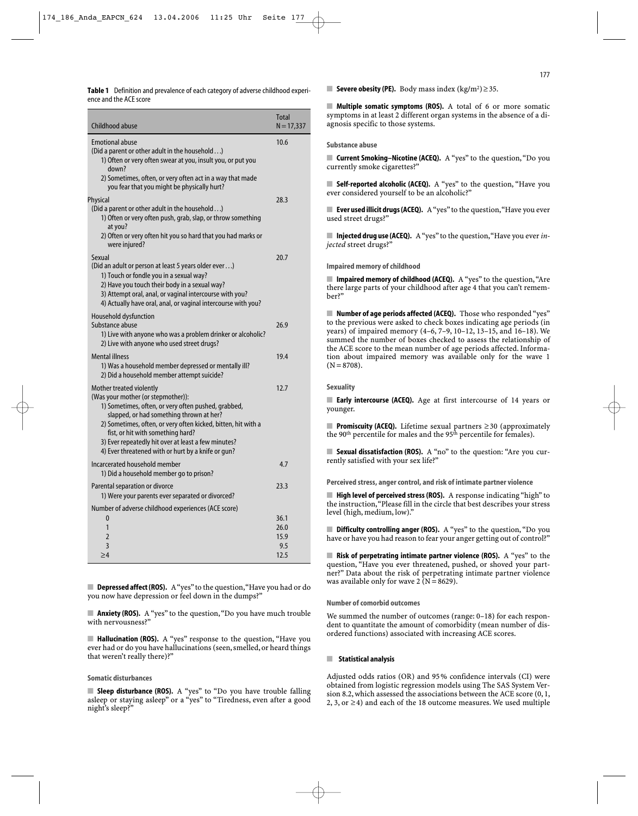Table 1 Definition and prevalence of each category of adverse childhood experience and the ACE score

| Childhood abuse                                                                                                                                                                                                                                                                                                                                                                      | <b>Total</b><br>$N = 17,337$        |
|--------------------------------------------------------------------------------------------------------------------------------------------------------------------------------------------------------------------------------------------------------------------------------------------------------------------------------------------------------------------------------------|-------------------------------------|
| <b>Emotional abuse</b><br>(Did a parent or other adult in the household )<br>1) Often or very often swear at you, insult you, or put you<br>down?<br>2) Sometimes, often, or very often act in a way that made<br>you fear that you might be physically hurt?                                                                                                                        | 10.6                                |
| Physical<br>(Did a parent or other adult in the household )<br>1) Often or very often push, grab, slap, or throw something<br>at you?<br>2) Often or very often hit you so hard that you had marks or<br>were injured?                                                                                                                                                               | 28.3                                |
| Sexual<br>(Did an adult or person at least 5 years older ever)<br>1) Touch or fondle you in a sexual way?<br>2) Have you touch their body in a sexual way?<br>3) Attempt oral, anal, or vaginal intercourse with you?<br>4) Actually have oral, anal, or vaginal intercourse with you?                                                                                               | 20.7                                |
| Household dysfunction<br>Substance abuse<br>1) Live with anyone who was a problem drinker or alcoholic?<br>2) Live with anyone who used street drugs?                                                                                                                                                                                                                                | 26.9                                |
| <b>Mental illness</b><br>1) Was a household member depressed or mentally ill?<br>2) Did a household member attempt suicide?                                                                                                                                                                                                                                                          | 19.4                                |
| Mother treated violently<br>(Was your mother (or stepmother)):<br>1) Sometimes, often, or very often pushed, grabbed,<br>slapped, or had something thrown at her?<br>2) Sometimes, often, or very often kicked, bitten, hit with a<br>fist, or hit with something hard?<br>3) Ever repeatedly hit over at least a few minutes?<br>4) Ever threatened with or hurt by a knife or gun? | 12.7                                |
| Incarcerated household member<br>1) Did a household member go to prison?                                                                                                                                                                                                                                                                                                             | 4.7                                 |
| Parental separation or divorce<br>1) Were your parents ever separated or divorced?                                                                                                                                                                                                                                                                                                   | 23.3                                |
| Number of adverse childhood experiences (ACE score)<br>$\Omega$<br>1<br>$\overline{2}$<br>3<br>$\geq 4$                                                                                                                                                                                                                                                                              | 36.1<br>26.0<br>15.9<br>9.5<br>12.5 |

■ **Depressed affect (ROS).** A "yes" to the question, "Have you had or do you now have depression or feel down in the dumps?"

■ Anxiety (ROS). A "yes" to the question, "Do you have much trouble with nervousness?"

■ Hallucination (ROS). A "yes" response to the question, "Have you ever had or do you have hallucinations (seen, smelled, or heard things that weren't really there)?"

#### Somatic disturbances

■ Sleep disturbance (ROS). A "yes" to "Do you have trouble falling asleep or staying asleep" or a "yes" to "Tiredness, even after a good night's sleep?"

■ Severe obesity (PE). Body mass index  $(kg/m^2) \ge 35$ .

■ **Multiple somatic symptoms (ROS).** A total of 6 or more somatic symptoms in at least 2 different organ systems in the absence of a diagnosis specific to those systems.

#### Substance abuse

■ Current Smoking-Nicotine (ACEQ). A "yes" to the question, "Do you currently smoke cigarettes?"

■ Self-reported alcoholic (ACEQ). A "yes" to the question, "Have you ever considered yourself to be an alcoholic?"

■ **Ever used illicit drugs (ACEQ).** A "yes" to the question, "Have you ever used street drugs?"

■ **Injected drug use (ACEQ).** A "yes" to the question, "Have you ever *injected* street drugs?"

Impaired memory of childhood

■ Impaired memory of childhood (ACEQ). A "yes" to the question, "Are there large parts of your childhood after age 4 that you can't remember?"

■ Number of age periods affected (ACEQ). Those who responded "yes" to the previous were asked to check boxes indicating age periods (in years) of impaired memory (4–6, 7–9, 10–12, 13–15, and 16–18). We summed the number of boxes checked to assess the relationship of the ACE score to the mean number of age periods affected. Information about impaired memory was available only for the wave 1  $(N = 8708)$ .

**Sexuality** 

■ Early intercourse (ACEQ). Age at first intercourse of 14 years or younger.

**Promiscuity (ACEQ).** Lifetime sexual partners  $\geq$  30 (approximately the 90<sup>th</sup> percentile for males and the 95<sup>th</sup> percentile for females).

■ Sexual dissatisfaction (ROS). A "no" to the question: "Are you currently satisfied with your sex life?"

Perceived stress, anger control, and risk of intimate partner violence

■ High level of perceived stress (ROS). A response indicating "high" to the instruction,"Please fill in the circle that best describes your stress level (high, medium, low)."

■ Difficulty controlling anger (ROS). A "yes" to the question, "Do you have or have you had reason to fear your anger getting out of control?"

■ Risk of perpetrating intimate partner violence (ROS). A "yes" to the question, "Have you ever threatened, pushed, or shoved your partner?" Data about the risk of perpetrating intimate partner violence was available only for wave 2 ( $N = 8629$ ).

#### Number of comorbid outcomes

We summed the number of outcomes (range: 0–18) for each respondent to quantitate the amount of comorbidity (mean number of disordered functions) associated with increasing ACE scores.

#### ■ Statistical analysis

Adjusted odds ratios (OR) and 95 % confidence intervals (CI) were obtained from logistic regression models using The SAS System Version 8.2, which assessed the associations between the ACE score (0, 1, 2, 3, or  $\geq$  4) and each of the 18 outcome measures. We used multiple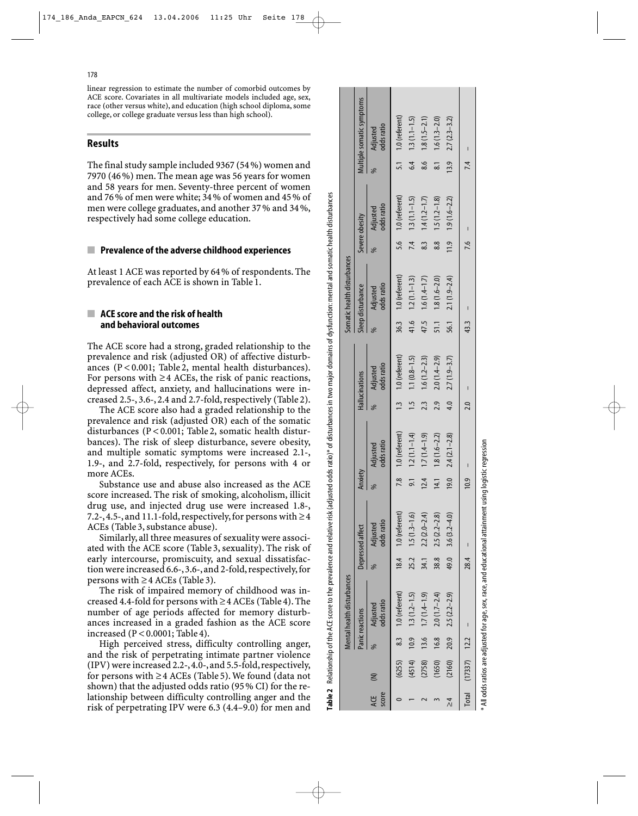linear regression to estimate the number of comorbid outcomes by ACE score. Covariates in all multivariate models included age, sex, race (other versus white), and education (high school diploma, some college, or college graduate versus less than high school).

# Results

The final study sample included 9367 (54 %) women and 7970 (46 %) men. The mean age was 56 years for women and 58 years for men. Seventy-three percent of women and 76 % of men were white; 34 % of women and 45 % of men were college graduates, and another 37 % and 34 %, respectively had some college education.

### Prevalence of the adverse childhood experiences

At least 1 ACE was reported by 64 % of respondents. The prevalence of each ACE is shown in Table 1.

# ■ ACE score and the risk of health and behavioral outcomes

The ACE score had a strong, graded relationship to the prevalence and risk (adjusted OR) of affective disturbances (P < 0.001; Table 2, mental health disturbances). For persons with  $\geq$  4 ACEs, the risk of panic reactions, depressed affect, anxiety, and hallucinations were increased 2.5-, 3.6-, 2.4 and 2.7-fold, respectively (Table 2).

The ACE score also had a graded relationship to the prevalence and risk (adjusted OR) each of the somatic disturbances (P < 0.001; Table 2, somatic health disturbances). The risk of sleep disturbance, severe obesity, and multiple somatic symptoms were increased 2.1-, 1.9-, and 2.7-fold, respectively, for persons with 4 or more ACEs.

Substance use and abuse also increased as the ACE score increased. The risk of smoking, alcoholism, illicit drug use, and injected drug use were increased 1.8-, 7.2-, 4.5-, and 11.1-fold, respectively, for persons with  $\geq$  4 ACEs (Table 3, substance abuse).

Similarly, all three measures of sexuality were associated with the ACE score (Table 3, sexuality). The risk of early intercourse, promiscuity, and sexual dissatisfaction were increased 6.6-,3.6-,and 2-fold,respectively,for persons with  $\geq$  4 ACEs (Table 3).

The risk of impaired memory of childhood was increased 4.4-fold for persons with ≥ 4 ACEs (Table 4). The number of age periods affected for memory disturbances increased in a graded fashion as the ACE score increased (P < 0.0001; Table 4).

High perceived stress, difficulty controlling anger, and the risk of perpetrating intimate partner violence (IPV) were increased 2.2-,4.0-,and 5.5-fold,respectively, for persons with  $\geq$  4 ACEs (Table 5). We found (data not shown) that the adjusted odds ratio (95 % CI) for the relationship between difficulty controlling anger and the risk of perpetrating IPV were 6.3 (4.4–9.0) for men and

|               |                    |      | Mental health disturbances                                                    |      |                        |                  |                             |                |                        |      | Somatic health disturbances |                |                        |           |                           |
|---------------|--------------------|------|-------------------------------------------------------------------------------|------|------------------------|------------------|-----------------------------|----------------|------------------------|------|-----------------------------|----------------|------------------------|-----------|---------------------------|
|               |                    |      | Panic reactions                                                               |      | Depressed affect       | Anxiety          |                             |                | Hallucinations         |      | Sleep disturbance           | Severe obesity |                        |           | Aultiple somatic symptoms |
| ACE<br>score  | E                  |      | odds ratio<br>Adjusted                                                        |      | odds ratio<br>Adjusted |                  | Adjusted<br>odds ratio      |                | Adjusted<br>odds ratio |      | Adjusted<br>odds ratio      |                | Adjusted<br>odds ratio |           | Adjusted<br>odds ratio    |
|               |                    |      | $(6255)$ 8.3 1.0 (referent)                                                   |      | 18.4 1.0 (referent)    |                  | 7.8 1.0 (referent)          |                | $1.3$ 1.0 (referent)   |      | 36.3 1.0 (referent)         |                | 5.6 1.0 (referent)     |           | 5.1 1.0 (referent)        |
|               | (4514)             |      | $10.9$ 1.3 $(1.2-1.5)$                                                        | 25.2 | $1.5(1.3-1.6)$         | $\overline{5}$   | $1.2(1.1-1.4)$              | 1.5            | $1.1(0.8-1.5)$         |      | 41.6 $1.2(1.1-1.3)$         | 7.4            | $1.3(1.1-1.5)$         | 6.4       | $1.3(1.1-1.5)$            |
|               | (2758)             | 13.6 | $1.7(1.4-1.9)$                                                                | 34.1 | $2.2(2.0-2.4)$         | 12.4             | $1.7(1.4 - 1.9)$            | 23             | $1.6(1.2-2.3)$         | 47.5 | $1.6(1.4 - 1.7)$            | 8.3            | $1.4(1.2 - 1.7)$       | 8.6       | $1.8(1.5 - 2.1)$          |
|               | (1650)             | 16.8 | $2.0(1.7-2.4)$                                                                | 38.8 | $2.5(2.2-2.8)$         | $\overline{4.1}$ | $1.8(1.6 - 2.2)$            | 2.9            | $2.0(1.4 - 2.9)$       | 51.1 | $1.8(1.6 - 2.0)$            | 8.8            | $1.5(1.2 - 1.8)$       | <u>នា</u> | $1.6(1.3 - 2.0)$          |
| $\frac{1}{2}$ | (2160)             | 20.9 | $2.5(2.2-2.9)$                                                                |      | $49.0$ 3.6 $(3.2-4.0)$ |                  | $19.0$ $2.4(2.1-2.8)$       | $\ddot{ }$     | $2.7(1.9-3.7)$         | 56.1 | $2.1(1.9 - 2.4)$            |                | $11.9$ $1.9(1.6-2.2)$  | 13.9      | $2.7(2.3-3.2)$            |
|               | Total (17337) 12.2 |      |                                                                               | 28.4 |                        | 10.9             |                             | $\overline{c}$ |                        | 43.3 |                             | $7.6 -$        |                        | 74        |                           |
|               |                    |      | * All odds ratios are adjusted for age, sex, race, and educational attainment |      |                        |                  | t using logistic regression |                |                        |      |                             |                |                        |           |                           |

Table 2 Relationship of the ACE score to the prevalence and relative risk (adjusted odds ratio)\* of disturbances in two major domains of dysfunction: mental and somatic health disturbances

Table 2

Relationship of the ACE score to the prevalence and relative risk (adjusted odds ratio)\* of disturbances in two major domains of dysfunction: mental and somatic health disturbances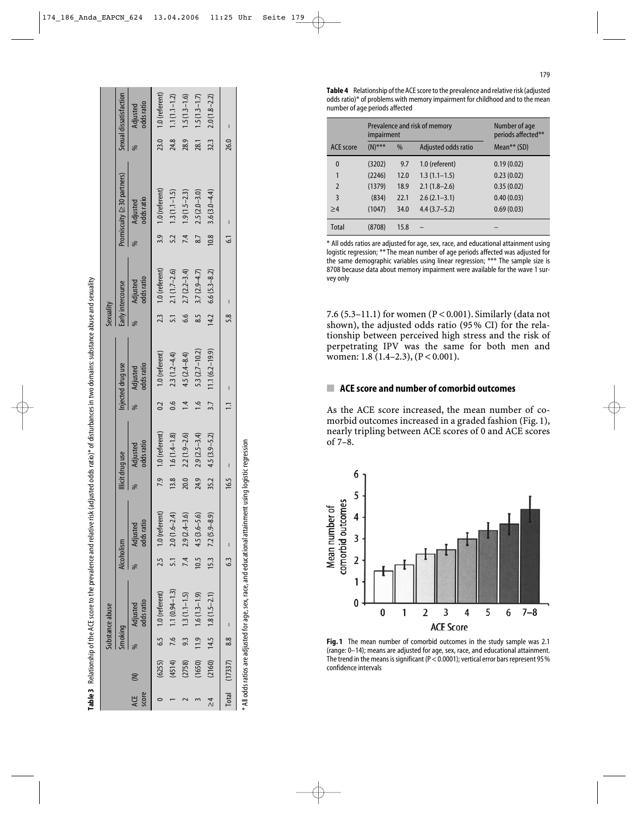|               |                   |         | Substance abuse                                                               |                      |                        |          |                             |                            |                        | Sexuality |                        |         |                            |      |                        |
|---------------|-------------------|---------|-------------------------------------------------------------------------------|----------------------|------------------------|----------|-----------------------------|----------------------------|------------------------|-----------|------------------------|---------|----------------------------|------|------------------------|
|               |                   | Smoking |                                                                               | Alcoholism           |                        |          | llicit drug use             |                            | Injected drug use      |           | Early intercourse      |         | Promiscuity (≥30 partners) |      | Sexual dissatisfaction |
| ACE<br>score  |                   |         | odds ratio<br>Adjusted                                                        |                      | Adjusted<br>odds ratio |          | Adjusted<br>odds ratio      |                            | Adjusted<br>odds ratio |           | Adjusted<br>odds ratio |         | Adjusted<br>odds ratio     |      | Adjusted<br>odds ratio |
|               |                   |         | $(6255)$ $6.5$ 1.0 (referent)                                                 |                      | $2.5$ 1.0 (referent)   |          | $7.9$ 1.0 (referent)        | $\frac{2}{3}$              | 1.0 (referent)         |           | $2.3$ 1.0 (referent)   |         | $3.9$ $1.0$ (referent)     |      | 23.0 1.0 (referent)    |
|               | (4514)            |         | $7.6$ 1.1 $(0.94-1.3)$                                                        |                      | $2.0(1.6 - 2.4)$       | 13.8     | $1.6(1.4 - 1.8)$            | o.<br>Ö                    | $2.3(1.2 - 4.4)$       | 5.1       | $2.1(1.7 - 2.6)$       |         | $5.2$ $1.3(1.1-1.5)$       | 24.8 | $1.1(1.1-1.2)$         |
|               | (2758)            | 9.3     | $1.3(1.1-1.5)$                                                                | 7.4                  | $2.9(2.4 - 3.6)$       | 20.0     | $2.2(1.9 - 2.6)$            |                            | $4.5(2.4 - 8.4)$       | 6.6       | $2.7(2.2 - 3.4)$       | 7.4     | $1.9(1.5-2.3)$             | 28.9 | $1.5(1.3 - 1.6)$       |
|               | (1650)            |         | $11.9$ $1.6(1.3-1.9)$                                                         | 10.5                 | $4.5(3.6 - 5.6)$       | 24.9     | $2.9(2.5-3.4)$              | ڢ                          | $5.3(2.7 - 10.2)$      | .5<br>8.5 | $3.7(2.9 - 4.7)$       | 8.7     | $2.5(2.0 - 3.0)$           | 28.1 | $1.5(1.3 - 1.7)$       |
| $\frac{4}{2}$ | (2160)            |         | $14.5$ $1.8(1.5-2.1)$                                                         |                      | $15.3$ $7.2(5.9-8.9)$  | 35.2     | $4.5(3.9 - 5.2)$            | $\overline{\widetilde{z}}$ | 11.1 (6.2-19.9)        | 14.2      | $6.6(5.3 - 8.2)$       | 10.8    | $3.6(3.0 - 4.4)$           | 32.3 | $2.0(1.8-2.2)$         |
|               | Total (17337) 8.8 |         |                                                                               | $\tilde{\mathbf{c}}$ |                        | $16.5 -$ |                             | $\frac{1}{1}$              |                        | $-5.8$    |                        | $6.1 -$ |                            | 26.0 |                        |
|               |                   |         | * All odds ratios are adjusted for age, sex, race, and educational attainment |                      |                        |          | t using logistic regression |                            |                        |           |                        |         |                            |      |                        |

Table 3 Relationship of the ACE score to the prevalence and relative risk (adjusted odds ratio)\* of disturbances in two domains: substance abuse and sexuality

Table 3 Relationship of the ACE score to the prevalence and relative risk (adjusted odds ratio)\* of disturbances in two domains; substance abuse and sexuality

Table 4 Relationship of the ACE score to the prevalence and relative risk (adjusted odds ratio)\* of problems with memory impairment for childhood and to the mean number of age periods affected

|                | impairment |      | Prevalence and risk of memory | Number of age<br>periods affected** |
|----------------|------------|------|-------------------------------|-------------------------------------|
| ACE score      | $(N)$ ***  | $\%$ | Adjusted odds ratio           | Mean $**$ (SD)                      |
| $\mathbf{0}$   | (3202)     | 9.7  | 1.0 (referent)                | 0.19(0.02)                          |
| 1              | (2246)     | 12.0 | $1.3(1.1-1.5)$                | 0.23(0.02)                          |
| $\overline{2}$ | (1379)     | 18.9 | $2.1(1.8-2.6)$                | 0.35(0.02)                          |
| 3              | (834)      | 22.1 | $2.6(2.1-3.1)$                | 0.40(0.03)                          |
| >4             | (1047)     | 34.0 | $4.4(3.7-5.2)$                | 0.69(0.03)                          |
| <b>Total</b>   | (8708)     | 15.8 |                               |                                     |

\* All odds ratios are adjusted for age, sex, race, and educational attainment using logistic regression; \*\* The mean number of age periods affected was adjusted for the same demographic variables using linear regression; \*\*\* The sample size is 8708 because data about memory impairment were available for the wave 1 survey only

7.6 (5.3–11.1) for women (P < 0.001). Similarly (data not shown), the adjusted odds ratio (95 % CI) for the relationship between perceived high stress and the risk of perpetrating IPV was the same for both men and women:  $1.8$  ( $1.4-2.3$ ), ( $P < 0.001$ ).

# ■ ACE score and number of comorbid outcomes

As the ACE score increased, the mean number of comorbid outcomes increased in a graded fashion (Fig. 1), nearly tripling between ACE scores of 0 and ACE scores of 7–8.



Fig. 1 The mean number of comorbid outcomes in the study sample was 2.1 (range: 0–14); means are adjusted for age, sex, race, and educational attainment. The trend in the means is significant ( $P < 0.0001$ ); vertical error bars represent 95% confidence intervals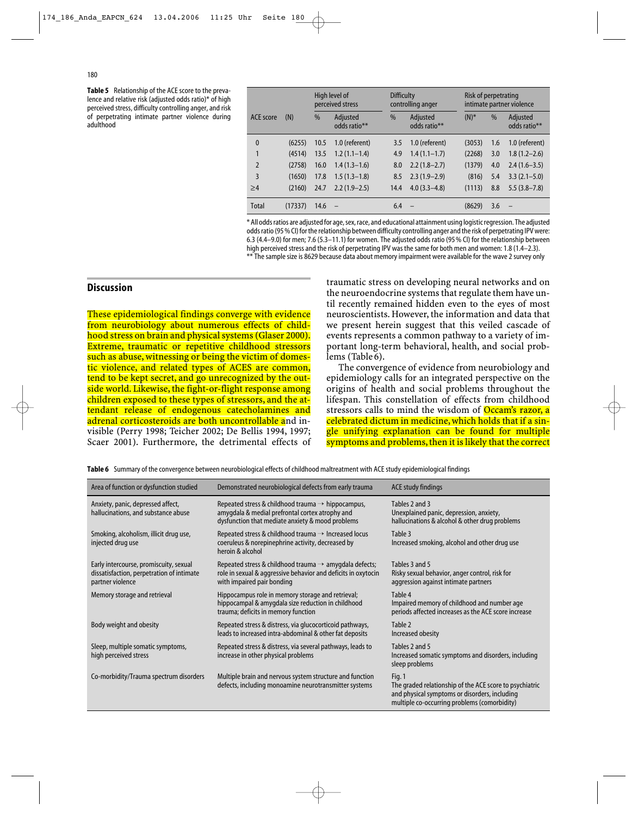Table 5 Relationship of the ACE score to the prevalence and relative risk (adjusted odds ratio)\* of high perceived stress, difficulty controlling anger, and risk of perpetrating intimate partner violence during adulthood

|                |         |      | High level of<br>perceived stress | <b>Difficulty</b> | controlling anger        | Risk of perpetrating |     | intimate partner violence |
|----------------|---------|------|-----------------------------------|-------------------|--------------------------|----------------------|-----|---------------------------|
| ACE score      | (N)     | $\%$ | Adjusted<br>odds ratio**          | $\frac{0}{0}$     | Adjusted<br>odds ratio** | $(N)^*$              | %   | Adjusted<br>odds ratio**  |
| $\mathbf{0}$   | (6255)  | 10.5 | 1.0 (referent)                    | 3.5               | 1.0 (referent)           | (3053)               | 1.6 | 1.0 (referent)            |
| 1              | (4514)  | 13.5 | $1.2(1.1-1.4)$                    | 4.9               | $1.4(1.1-1.7)$           | (2268)               | 3.0 | $1.8(1.2 - 2.6)$          |
| $\overline{2}$ | (2758)  | 16.0 | $1.4(1.3-1.6)$                    | 8.0               | $2.2(1.8-2.7)$           | (1379)               | 4.0 | $2.4(1.6-3.5)$            |
| 3              | (1650)  | 17.8 | $1.5(1.3-1.8)$                    | 8.5               | $2.3(1.9-2.9)$           | (816)                | 5.4 | $3.3(2.1 - 5.0)$          |
| $\geq 4$       | (2160)  | 24.7 | $2.2(1.9-2.5)$                    | 14.4              | $4.0(3.3-4.8)$           | (1113)               | 8.8 | $5.5(3.8 - 7.8)$          |
| <b>Total</b>   | (17337) | 14.6 |                                   | 6.4               |                          | (8629)               | 3.6 |                           |

\* All odds ratios are adjusted for age, sex, race, and educational attainment using logistic regression. The adjusted odds ratio (95 % CI) for the relationship between difficulty controlling anger and the risk of perpetrating IPV were: 6.3 (4.4–9.0) for men; 7.6 (5.3–11.1) for women. The adjusted odds ratio (95 % CI) for the relationship between high perceived stress and the risk of perpetrating IPV was the same for both men and women: 1.8 (1.4–2.3).

\*\* The sample size is 8629 because data about memory impairment were available for the wave 2 survey only

## **Discussion**

These epidemiological findings converge with evidence from neurobiology about numerous effects of childhood stress on brain and physical systems (Glaser 2000). Extreme, traumatic or repetitive childhood stressors such as abuse, witnessing or being the victim of domestic violence, and related types of ACES are common, tend to be kept secret, and go unrecognized by the outside world. Likewise, the fight-or-flight response among children exposed to these types of stressors, and the attendant release of endogenous catecholamines and adrenal corticosteroids are both uncontrollable and invisible (Perry 1998; Teicher 2002; De Bellis 1994, 1997; Scaer 2001). Furthermore, the detrimental effects of traumatic stress on developing neural networks and on the neuroendocrine systems that regulate them have until recently remained hidden even to the eyes of most neuroscientists. However, the information and data that we present herein suggest that this veiled cascade of events represents a common pathway to a variety of important long-term behavioral, health, and social problems (Table 6).

The convergence of evidence from neurobiology and epidemiology calls for an integrated perspective on the origins of health and social problems throughout the lifespan. This constellation of effects from childhood stressors calls to mind the wisdom of Occam's razor, a celebrated dictum in medicine, which holds that if a single unifying explanation can be found for multiple symptoms and problems, then it is likely that the correct

|  |  |  | Table 6 Summary of the convergence between neurobiological effects of childhood maltreatment with ACE study epidemiological findings |  |  |
|--|--|--|--------------------------------------------------------------------------------------------------------------------------------------|--|--|
|--|--|--|--------------------------------------------------------------------------------------------------------------------------------------|--|--|

| Area of function or dysfunction studied                                                                 | Demonstrated neurobiological defects from early trauma                                                                                                               | <b>ACE study findings</b>                                                                                                                                          |
|---------------------------------------------------------------------------------------------------------|----------------------------------------------------------------------------------------------------------------------------------------------------------------------|--------------------------------------------------------------------------------------------------------------------------------------------------------------------|
| Anxiety, panic, depressed affect,<br>hallucinations, and substance abuse                                | Repeated stress & childhood trauma $\rightarrow$ hippocampus,<br>amygdala & medial prefrontal cortex atrophy and<br>dysfunction that mediate anxiety & mood problems | Tables 2 and 3<br>Unexplained panic, depression, anxiety,<br>hallucinations & alcohol & other drug problems                                                        |
| Smoking, alcoholism, illicit drug use,<br>injected drug use                                             | Repeated stress & childhood trauma $\rightarrow$ Increased locus<br>coeruleus & norepinephrine activity, decreased by<br>heroin & alcohol                            | Table 3<br>Increased smoking, alcohol and other drug use                                                                                                           |
| Early intercourse, promiscuity, sexual<br>dissatisfaction, perpetration of intimate<br>partner violence | Repeated stress & childhood trauma $\rightarrow$ amygdala defects;<br>role in sexual & aggressive behavior and deficits in oxytocin<br>with impaired pair bonding    | Tables 3 and 5<br>Risky sexual behavior, anger control, risk for<br>aggression against intimate partners                                                           |
| Memory storage and retrieval                                                                            | Hippocampus role in memory storage and retrieval;<br>hippocampal & amygdala size reduction in childhood<br>trauma; deficits in memory function                       | Table 4<br>Impaired memory of childhood and number age<br>periods affected increases as the ACE score increase                                                     |
| Body weight and obesity                                                                                 | Repeated stress & distress, via glucocorticoid pathways,<br>leads to increased intra-abdominal & other fat deposits                                                  | Table 2<br>Increased obesity                                                                                                                                       |
| Sleep, multiple somatic symptoms,<br>high perceived stress                                              | Repeated stress & distress, via several pathways, leads to<br>increase in other physical problems                                                                    | Tables 2 and 5<br>Increased somatic symptoms and disorders, including<br>sleep problems                                                                            |
| Co-morbidity/Trauma spectrum disorders                                                                  | Multiple brain and nervous system structure and function<br>defects, including monoamine neurotransmitter systems                                                    | Fig. 1<br>The graded relationship of the ACE score to psychiatric<br>and physical symptoms or disorders, including<br>multiple co-occurring problems (comorbidity) |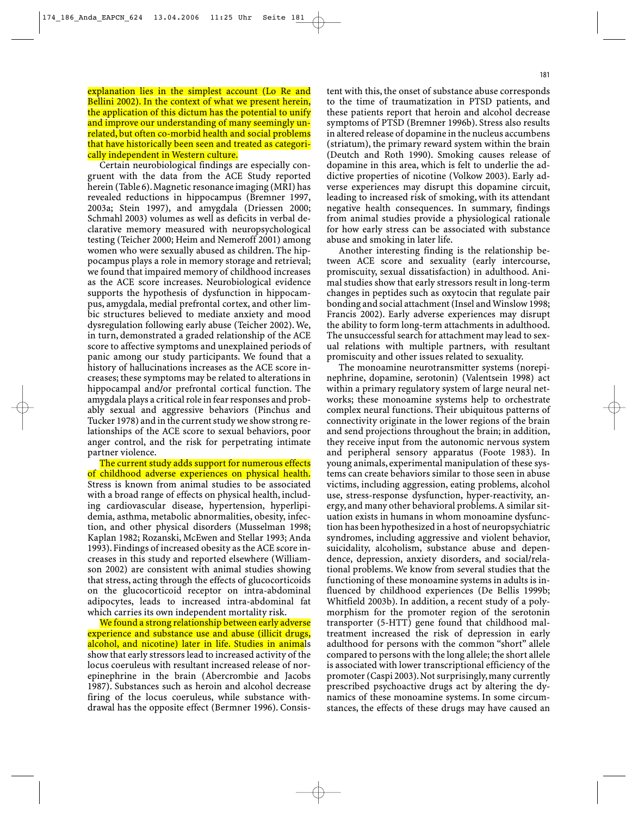explanation lies in the simplest account (Lo Re and Bellini 2002). In the context of what we present herein, the application of this dictum has the potential to unify and improve our understanding of many seemingly unrelated, but often co-morbid health and social problems that have historically been seen and treated as categorically independent in Western culture.

Certain neurobiological findings are especially congruent with the data from the ACE Study reported herein (Table 6).Magnetic resonance imaging (MRI) has revealed reductions in hippocampus (Bremner 1997, 2003a; Stein 1997), and amygdala (Driessen 2000; Schmahl 2003) volumes as well as deficits in verbal declarative memory measured with neuropsychological testing (Teicher 2000; Heim and Nemeroff 2001) among women who were sexually abused as children. The hippocampus plays a role in memory storage and retrieval; we found that impaired memory of childhood increases as the ACE score increases. Neurobiological evidence supports the hypothesis of dysfunction in hippocampus, amygdala, medial prefrontal cortex, and other limbic structures believed to mediate anxiety and mood dysregulation following early abuse (Teicher 2002). We, in turn, demonstrated a graded relationship of the ACE score to affective symptoms and unexplained periods of panic among our study participants. We found that a history of hallucinations increases as the ACE score increases; these symptoms may be related to alterations in hippocampal and/or prefrontal cortical function. The amygdala plays a critical role in fear responses and probably sexual and aggressive behaviors (Pinchus and Tucker 1978) and in the current study we show strong relationships of the ACE score to sexual behaviors, poor anger control, and the risk for perpetrating intimate partner violence.

The current study adds support for numerous effects of childhood adverse experiences on physical health. Stress is known from animal studies to be associated with a broad range of effects on physical health, including cardiovascular disease, hypertension, hyperlipidemia, asthma, metabolic abnormalities, obesity, infection, and other physical disorders (Musselman 1998; Kaplan 1982; Rozanski, McEwen and Stellar 1993; Anda 1993). Findings of increased obesity as the ACE score increases in this study and reported elsewhere (Williamson 2002) are consistent with animal studies showing that stress, acting through the effects of glucocorticoids on the glucocorticoid receptor on intra-abdominal adipocytes, leads to increased intra-abdominal fat which carries its own independent mortality risk.

We found a strong relationship between early adverse experience and substance use and abuse (illicit drugs, alcohol, and nicotine) later in life. Studies in animals show that early stressors lead to increased activity of the locus coeruleus with resultant increased release of norepinephrine in the brain (Abercrombie and Jacobs 1987). Substances such as heroin and alcohol decrease firing of the locus coeruleus, while substance withdrawal has the opposite effect (Bermner 1996). Consistent with this, the onset of substance abuse corresponds to the time of traumatization in PTSD patients, and these patients report that heroin and alcohol decrease symptoms of PTSD (Bremner 1996b). Stress also results in altered release of dopamine in the nucleus accumbens (striatum), the primary reward system within the brain (Deutch and Roth 1990). Smoking causes release of dopamine in this area, which is felt to underlie the addictive properties of nicotine (Volkow 2003). Early adverse experiences may disrupt this dopamine circuit, leading to increased risk of smoking, with its attendant negative health consequences. In summary, findings from animal studies provide a physiological rationale for how early stress can be associated with substance abuse and smoking in later life.

Another interesting finding is the relationship between ACE score and sexuality (early intercourse, promiscuity, sexual dissatisfaction) in adulthood. Animal studies show that early stressors result in long-term changes in peptides such as oxytocin that regulate pair bonding and social attachment (Insel and Winslow 1998; Francis 2002). Early adverse experiences may disrupt the ability to form long-term attachments in adulthood. The unsuccessful search for attachment may lead to sexual relations with multiple partners, with resultant promiscuity and other issues related to sexuality.

The monoamine neurotransmitter systems (norepinephrine, dopamine, serotonin) (Valentsein 1998) act within a primary regulatory system of large neural networks; these monoamine systems help to orchestrate complex neural functions. Their ubiquitous patterns of connectivity originate in the lower regions of the brain and send projections throughout the brain; in addition, they receive input from the autonomic nervous system and peripheral sensory apparatus (Foote 1983). In young animals, experimental manipulation of these systems can create behaviors similar to those seen in abuse victims, including aggression, eating problems, alcohol use, stress-response dysfunction, hyper-reactivity, anergy, and many other behavioral problems.A similar situation exists in humans in whom monoamine dysfunction has been hypothesized in a host of neuropsychiatric syndromes, including aggressive and violent behavior, suicidality, alcoholism, substance abuse and dependence, depression, anxiety disorders, and social/relational problems. We know from several studies that the functioning of these monoamine systems in adults is influenced by childhood experiences (De Bellis 1999b; Whitfield 2003b). In addition, a recent study of a polymorphism for the promoter region of the serotonin transporter (5-HTT) gene found that childhood maltreatment increased the risk of depression in early adulthood for persons with the common "short" allele compared to persons with the long allele; the short allele is associated with lower transcriptional efficiency of the promoter (Caspi 2003). Not surprisingly, many currently prescribed psychoactive drugs act by altering the dynamics of these monoamine systems. In some circumstances, the effects of these drugs may have caused an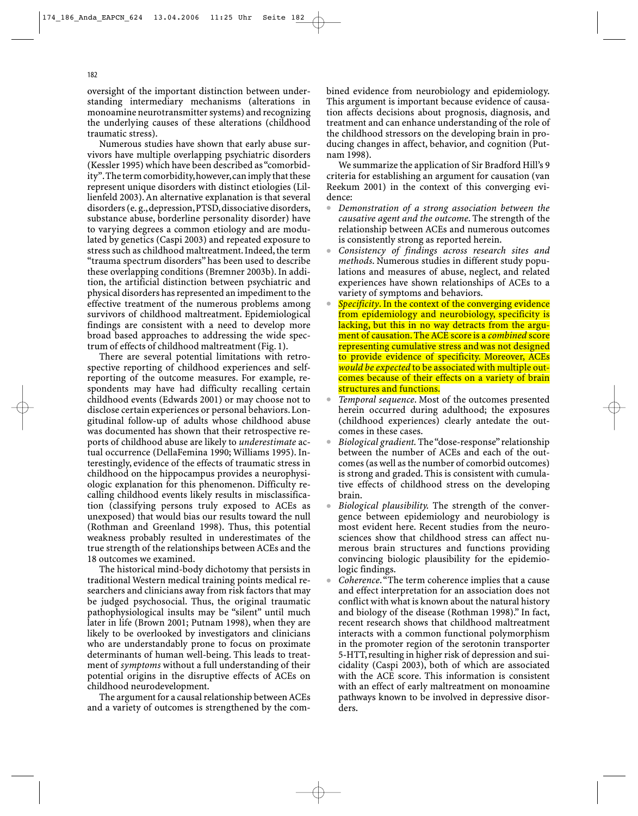oversight of the important distinction between understanding intermediary mechanisms (alterations in monoamine neurotransmitter systems) and recognizing the underlying causes of these alterations (childhood traumatic stress).

Numerous studies have shown that early abuse survivors have multiple overlapping psychiatric disorders (Kessler 1995) which have been described as "comorbidity".The term comorbidity,however,can imply that these represent unique disorders with distinct etiologies (Lillienfeld 2003). An alternative explanation is that several disorders (e. g.,depression,PTSD,dissociative disorders, substance abuse, borderline personality disorder) have to varying degrees a common etiology and are modulated by genetics (Caspi 2003) and repeated exposure to stress such as childhood maltreatment. Indeed, the term "trauma spectrum disorders" has been used to describe these overlapping conditions (Bremner 2003b). In addition, the artificial distinction between psychiatric and physical disorders has represented an impediment to the effective treatment of the numerous problems among survivors of childhood maltreatment. Epidemiological findings are consistent with a need to develop more broad based approaches to addressing the wide spectrum of effects of childhood maltreatment (Fig. 1).

There are several potential limitations with retrospective reporting of childhood experiences and selfreporting of the outcome measures. For example, respondents may have had difficulty recalling certain childhood events (Edwards 2001) or may choose not to disclose certain experiences or personal behaviors. Longitudinal follow-up of adults whose childhood abuse was documented has shown that their retrospective reports of childhood abuse are likely to *underestimate* actual occurrence (DellaFemina 1990; Williams 1995). Interestingly, evidence of the effects of traumatic stress in childhood on the hippocampus provides a neurophysiologic explanation for this phenomenon. Difficulty recalling childhood events likely results in misclassification (classifying persons truly exposed to ACEs as unexposed) that would bias our results toward the null (Rothman and Greenland 1998). Thus, this potential weakness probably resulted in underestimates of the true strength of the relationships between ACEs and the 18 outcomes we examined.

The historical mind-body dichotomy that persists in traditional Western medical training points medical researchers and clinicians away from risk factors that may be judged psychosocial. Thus, the original traumatic pathophysiological insults may be "silent" until much later in life (Brown 2001; Putnam 1998), when they are likely to be overlooked by investigators and clinicians who are understandably prone to focus on proximate determinants of human well-being. This leads to treatment of *symptoms* without a full understanding of their potential origins in the disruptive effects of ACEs on childhood neurodevelopment.

The argument for a causal relationship between ACEs and a variety of outcomes is strengthened by the combined evidence from neurobiology and epidemiology. This argument is important because evidence of causation affects decisions about prognosis, diagnosis, and treatment and can enhance understanding of the role of the childhood stressors on the developing brain in producing changes in affect, behavior, and cognition (Putnam 1998).

We summarize the application of Sir Bradford Hill's 9 criteria for establishing an argument for causation (van Reekum 2001) in the context of this converging evidence:

- *Demonstration of a strong association between the causative agent and the outcome*. The strength of the relationship between ACEs and numerous outcomes is consistently strong as reported herein.
- $\bullet$  *Consistency of findings across research sites and methods*. Numerous studies in different study populations and measures of abuse, neglect, and related experiences have shown relationships of ACEs to a variety of symptoms and behaviors.
- - *Specificity*. In the context of the converging evidence from epidemiology and neurobiology, specificity is lacking, but this in no way detracts from the argument of causation. The ACE score is a *combined* score representing cumulative stress and was not designed to provide evidence of specificity. Moreover, ACEs *would be expected* to be associated with multiple outcomes because of their effects on a variety of brain structures and functions.
- $\bullet$  *Temporal sequence*. Most of the outcomes presented herein occurred during adulthood; the exposures (childhood experiences) clearly antedate the outcomes in these cases.
- $\ddot{\phantom{a}}$  *Biological gradient.* The "dose-response" relationship between the number of ACEs and each of the outcomes (as well as the number of comorbid outcomes) is strong and graded. This is consistent with cumulative effects of childhood stress on the developing brain.
- $\bullet$  *Biological plausibility.* The strength of the convergence between epidemiology and neurobiology is most evident here. Recent studies from the neurosciences show that childhood stress can affect numerous brain structures and functions providing convincing biologic plausibility for the epidemiologic findings.
- $\ddot{\phantom{a}}$  *Coherence*."The term coherence implies that a cause and effect interpretation for an association does not conflict with what is known about the natural history and biology of the disease (Rothman 1998)." In fact, recent research shows that childhood maltreatment interacts with a common functional polymorphism in the promoter region of the serotonin transporter 5-HTT, resulting in higher risk of depression and suicidality (Caspi 2003), both of which are associated with the ACE score. This information is consistent with an effect of early maltreatment on monoamine pathways known to be involved in depressive disorders.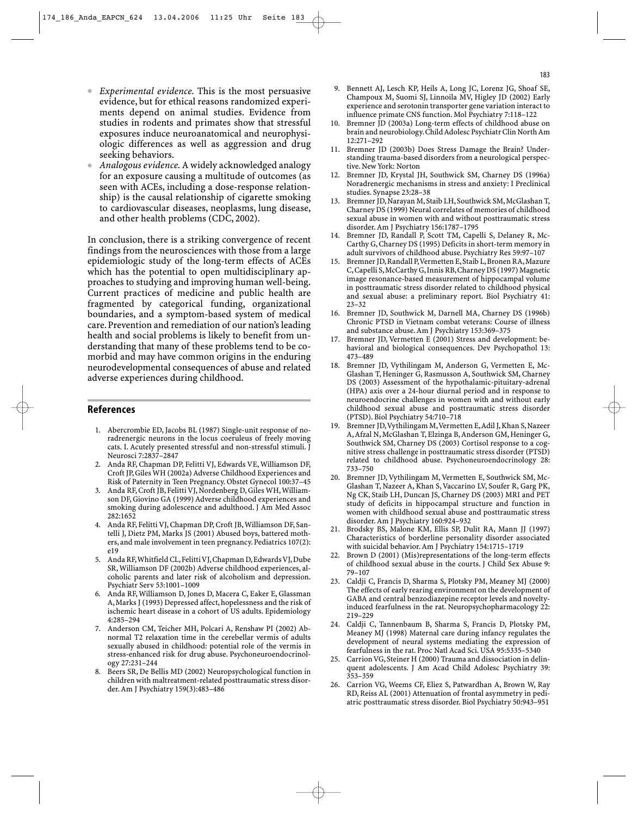- - *Experimental evidence.* This is the most persuasive evidence, but for ethical reasons randomized experiments depend on animal studies. Evidence from studies in rodents and primates show that stressful exposures induce neuroanatomical and neurophysiologic differences as well as aggression and drug seeking behaviors.
- - *Analogous evidence.*A widely acknowledged analogy for an exposure causing a multitude of outcomes (as seen with ACEs, including a dose-response relationship) is the causal relationship of cigarette smoking to cardiovascular diseases, neoplasms, lung disease, and other health problems (CDC, 2002).

In conclusion, there is a striking convergence of recent findings from the neurosciences with those from a large epidemiologic study of the long-term effects of ACEs which has the potential to open multidisciplinary approaches to studying and improving human well-being. Current practices of medicine and public health are fragmented by categorical funding, organizational boundaries, and a symptom-based system of medical care. Prevention and remediation of our nation's leading health and social problems is likely to benefit from understanding that many of these problems tend to be comorbid and may have common origins in the enduring neurodevelopmental consequences of abuse and related adverse experiences during childhood.

### References

- 1. Abercrombie ED, Jacobs BL (1987) Single-unit response of noradrenergic neurons in the locus coeruleus of freely moving cats. I. Acutely presented stressful and non-stressful stimuli. J Neurosci 7:2837–2847
- 2. Anda RF, Chapman DP, Felitti VJ, Edwards VE, Williamson DF, Croft JP, Giles WH (2002a) Adverse Childhood Experiences and Risk of Paternity in Teen Pregnancy. Obstet Gynecol 100:37–45
- 3. Anda RF, Croft JB, Felitti VJ, Nordenberg D, Giles WH, Williamson DF, Giovino GA (1999) Adverse childhood experiences and smoking during adolescence and adulthood. J Am Med Assoc 282:1652
- 4. Anda RF, Felitti VJ, Chapman DP, Croft JB, Williamson DF, Santelli J, Dietz PM, Marks JS (2001) Abused boys, battered mothers, and male involvement in teen pregnancy. Pediatrics 107(2): e19
- 5. Anda RF,Whitfield CL,Felitti VJ,Chapman D,Edwards VJ,Dube SR, Williamson DF (2002b) Adverse childhood experiences, alcoholic parents and later risk of alcoholism and depression. Psychiatr Serv 53:1001–1009
- 6. Anda RF, Williamson D, Jones D, Macera C, Eaker E, Glassman A, Marks J (1993) Depressed affect, hopelessness and the risk of ischemic heart disease in a cohort of US adults. Epidemiology 4:285–294
- 7. Anderson CM, Teicher MH, Polcari A, Renshaw PI (2002) Abnormal T2 relaxation time in the cerebellar vermis of adults sexually abused in childhood: potential role of the vermis in stress-enhanced risk for drug abuse. Psychoneuroendocrinology 27:231–244
- 8. Beers SR, De Bellis MD (2002) Neuropsychological function in children with maltreatment-related posttraumatic stress disorder. Am J Psychiatry 159(3):483–486
- 9. Bennett AJ, Lesch KP, Heils A, Long JC, Lorenz JG, Shoaf SE, Champoux M, Suomi SJ, Linnoila MV, Higley JD (2002) Early experience and serotonin transporter gene variation interact to influence primate CNS function. Mol Psychiatry 7:118–122
- 10. Bremner JD (2003a) Long-term effects of childhood abuse on brain and neurobiology.Child Adolesc Psychiatr Clin North Am 12:271–292
- 11. Bremner JD (2003b) Does Stress Damage the Brain? Understanding trauma-based disorders from a neurological perspective. New York: Norton
- 12. Bremner JD, Krystal JH, Southwick SM, Charney DS (1996a) Noradrenergic mechanisms in stress and anxiety: I Preclinical studies. Synapse 23:28–38
- 13. Bremner JD, Narayan M, Staib LH, Southwick SM, McGlashan T, Charney DS (1999) Neural correlates of memories of childhood sexual abuse in women with and without posttraumatic stress disorder. Am J Psychiatry 156:1787–1795
- 14. Bremner JD, Randall P, Scott TM, Capelli S, Delaney R, Mc-Carthy G, Charney DS (1995) Deficits in short-term memory in adult survivors of childhood abuse. Psychiatry Res 59:97–107
- 15. Bremner JD, Randall P, Vermetten E, Staib L, Bronen RA, Mazure C,Capelli S,McCarthy G,Innis RB,Charney DS (1997) Magnetic image resonance-based measurement of hippocampal volume in posttraumatic stress disorder related to childhood physical and sexual abuse: a preliminary report. Biol Psychiatry 41: 23–32
- 16. Bremner JD, Southwick M, Darnell MA, Charney DS (1996b) Chronic PTSD in Vietnam combat veterans: Course of illness and substance abuse. Am J Psychiatry 153:369–375
- 17. Bremner JD, Vermetten E (2001) Stress and development: behavioral and biological consequences. Dev Psychopathol 13: 473–489
- 18. Bremner JD, Vythilingam M, Anderson G, Vermetten E, Mc-Glashan T, Heninger G, Rasmusson A, Southwick SM, Charney DS (2003) Assessment of the hypothalamic-pituitary-adrenal (HPA) axis over a 24-hour diurnal period and in response to neuroendocrine challenges in women with and without early childhood sexual abuse and posttraumatic stress disorder (PTSD). Biol Psychiatry 54:710–718
- 19. Bremner JD, Vythilingam M, Vermetten E, Adil J, Khan S, Nazeer A, Afzal N, McGlashan T, Elzinga B, Anderson GM, Heninger G, Southwick SM, Charney DS (2003) Cortisol response to a cognitive stress challenge in posttraumatic stress disorder (PTSD) related to childhood abuse. Psychoneuroendocrinology 28: 733–750
- 20. Bremner JD, Vythilingam M, Vermetten E, Southwick SM, Mc-Glashan T, Nazeer A, Khan S, Vaccarino LV, Soufer R, Garg PK, Ng CK, Staib LH, Duncan JS, Charney DS (2003) MRI and PET study of deficits in hippocampal structure and function in women with childhood sexual abuse and posttraumatic stress disorder. Am J Psychiatry 160:924–932
- 21. Brodsky BS, Malone KM, Ellis SP, Dulit RA, Mann JJ (1997) Characteristics of borderline personality disorder associated with suicidal behavior. Am J Psychiatry 154:1715–1719
- 22. Brown D (2001) (Mis)representations of the long-term effects of childhood sexual abuse in the courts. J Child Sex Abuse 9: 79–107
- 23. Caldji C, Francis D, Sharma S, Plotsky PM, Meaney MJ (2000) The effects of early rearing environment on the development of GABA and central benzodiazepine receptor levels and noveltyinduced fearfulness in the rat. Neuropsychopharmacology 22: 219–229
- 24. Caldji C, Tannenbaum B, Sharma S, Francis D, Plotsky PM, Meaney MJ (1998) Maternal care during infancy regulates the development of neural systems mediating the expression of fearfulness in the rat. Proc Natl Acad Sci. USA 95:5335–5340
- 25. Carrion VG, Steiner H (2000) Trauma and dissociation in delinquent adolescents. J Am Acad Child Adolesc Psychiatry 39: 353–359
- 26. Carrion VG, Weems CF, Eliez S, Patwardhan A, Brown W, Ray RD, Reiss AL (2001) Attenuation of frontal asymmetry in pediatric posttraumatic stress disorder. Biol Psychiatry 50:943–951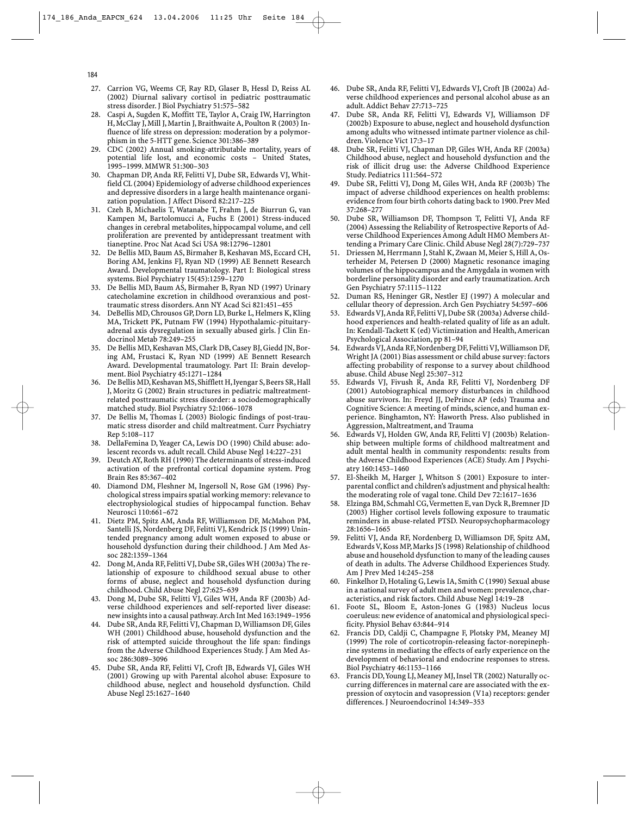- 27. Carrion VG, Weems CF, Ray RD, Glaser B, Hessl D, Reiss AL (2002) Diurnal salivary cortisol in pediatric posttraumatic stress disorder. J Biol Psychiatry 51:575–582
- 28. Caspi A, Sugden K, Moffitt TE, Taylor A, Craig IW, Harrington H, McClay J, Mill J, Martin J, Braithwaite A, Poulton R (2003) Influence of life stress on depression: moderation by a polymorphism in the 5-HTT gene. Science 301:386–389
- 29. CDC (2002) Annual smoking-attributable mortality, years of potential life lost, and economic costs - United States, 1995–1999. MMWR 51:300–303
- 30. Chapman DP, Anda RF, Felitti VJ, Dube SR, Edwards VJ, Whitfield CL (2004) Epidemiology of adverse childhood experiences and depressive disorders in a large health maintenance organization population. J Affect Disord 82:217–225
- 31. Czeh B, Michaelis T, Watanabe T, Frahm J, de Biurrun G, van Kampen M, Bartolomucci A, Fuchs E (2001) Stress-induced changes in cerebral metabolites, hippocampal volume, and cell proliferation are prevented by antidepressant treatment with tianeptine. Proc Nat Acad Sci USA 98:12796–12801
- 32. De Bellis MD, Baum AS, Birmaher B, Keshavan MS, Eccard CH, Boring AM, Jenkins FJ, Ryan ND (1999) AE Bennett Research Award. Developmental traumatology. Part I: Biological stress systems. Biol Psychiatry 15(45):1259–1270
- 33. De Bellis MD, Baum AS, Birmaher B, Ryan ND (1997) Urinary catecholamine excretion in childhood overanxious and posttraumatic stress disorders. Ann NY Acad Sci 821:451–455
- 34. DeBellis MD, Chrousos GP, Dorn LD, Burke L, Helmers K, Kling MA, Trickett PK, Putnam FW (1994) Hypothalamic-pituitaryadrenal axis dysregulation in sexually abused girls. J Clin Endocrinol Metab 78:249–255
- 35. De Bellis MD, Keshavan MS, Clark DB, Casey BJ, Giedd JN, Boring AM, Frustaci K, Ryan ND (1999) AE Bennett Research Award. Developmental traumatology. Part II: Brain development. Biol Psychiatry 45:1271–1284
- 36. De Bellis MD, Keshavan MS, Shifflett H, Iyengar S, Beers SR, Hall J, Moritz G (2002) Brain structures in pediatric maltreatmentrelated posttraumatic stress disorder: a sociodemographically matched study. Biol Psychiatry 52:1066–1078
- 37. De Bellis M, Thomas L (2003) Biologic findings of post-traumatic stress disorder and child maltreatment. Curr Psychiatry Rep 5:108–117
- 38. DellaFemina D, Yeager CA, Lewis DO (1990) Child abuse: adolescent records vs. adult recall. Child Abuse Negl 14:227–231
- 39. Deutch AY, Roth RH (1990) The determinants of stress-induced activation of the prefrontal cortical dopamine system. Prog Brain Res 85:367–402
- 40. Diamond DM, Fleshner M, Ingersoll N, Rose GM (1996) Psychological stress impairs spatial working memory: relevance to electrophysiological studies of hippocampal function. Behav Neurosci 110:661–672
- 41. Dietz PM, Spitz AM, Anda RF, Williamson DF, McMahon PM, Santelli JS, Nordenberg DF, Felitti VJ, Kendrick JS (1999) Unintended pregnancy among adult women exposed to abuse or household dysfunction during their childhood. J Am Med Assoc 282:1359–1364
- 42. Dong M,Anda RF, Felitti VJ, Dube SR, Giles WH (2003a) The relationship of exposure to childhood sexual abuse to other forms of abuse, neglect and household dysfunction during childhood. Child Abuse Negl 27:625–639
- 43. Dong M, Dube SR, Felitti VJ, Giles WH, Anda RF (2003b) Adverse childhood experiences and self-reported liver disease: new insights into a causal pathway.Arch Int Med 163:1949–1956
- 44. Dube SR, Anda RF, Felitti VJ, Chapman D, Williamson DF, Giles WH (2001) Childhood abuse, household dysfunction and the risk of attempted suicide throughout the life span: findings from the Adverse Childhood Experiences Study. J Am Med Assoc 286:3089–3096
- 45. Dube SR, Anda RF, Felitti VJ, Croft JB, Edwards VJ, Giles WH (2001) Growing up with Parental alcohol abuse: Exposure to childhood abuse, neglect and household dysfunction. Child Abuse Negl 25:1627–1640
- 46. Dube SR, Anda RF, Felitti VJ, Edwards VJ, Croft JB (2002a) Adverse childhood experiences and personal alcohol abuse as an adult. Addict Behav 27:713–725
- 47. Dube SR, Anda RF, Felitti VJ, Edwards VJ, Williamson DF (2002b) Exposure to abuse, neglect and household dysfunction among adults who witnessed intimate partner violence as children. Violence Vict 17:3–17
- 48. Dube SR, Felitti VJ, Chapman DP, Giles WH, Anda RF (2003a) Childhood abuse, neglect and household dysfunction and the risk of illicit drug use: the Adverse Childhood Experience Study. Pediatrics 111:564–572
- 49. Dube SR, Felitti VJ, Dong M, Giles WH, Anda RF (2003b) The impact of adverse childhood experiences on health problems: evidence from four birth cohorts dating back to 1900. Prev Med 37:268–277
- 50. Dube SR, Williamson DF, Thompson T, Felitti VJ, Anda RF (2004) Assessing the Reliability of Retrospective Reports of Adverse Childhood Experiences Among Adult HMO Members Attending a Primary Care Clinic. Child Abuse Negl 28(7):729–737
- 51. Driessen M, Herrmann J, Stahl K, Zwaan M, Meier S, Hill A, Osterheider M, Petersen D (2000) Magnetic resonance imaging volumes of the hippocampus and the Amygdala in women with borderline personality disorder and early traumatization.Arch Gen Psychiatry 57:1115–1122
- 52. Duman RS, Heninger GR, Nestler EJ (1997) A molecular and cellular theory of depression. Arch Gen Psychiatry 54:597–606
- 53. Edwards VJ,Anda RF, Felitti VJ, Dube SR (2003a) Adverse childhood experiences and health-related quality of life as an adult. In: Kendall-Tackett K (ed) Victimization and Health, American Psychological Association, pp 81–94
- 54. Edwards VJ,Anda RF, Nordenberg DF, Felitti VJ,Williamson DF, Wright JA (2001) Bias assessment or child abuse survey: factors affecting probability of response to a survey about childhood abuse. Child Abuse Negl 25:307–312
- 55. Edwards VJ, Fivush R, Anda RF, Felitti VJ, Nordenberg DF (2001) Autobiographical memory disturbances in childhood abuse survivors. In: Freyd JJ, DePrince AP (eds) Trauma and Cognitive Science: A meeting of minds, science, and human experience. Binghamton, NY: Haworth Press. Also published in Aggression, Maltreatment, and Trauma
- 56. Edwards VJ, Holden GW, Anda RF, Felitti VJ (2003b) Relationship between multiple forms of childhood maltreatment and adult mental health in community respondents: results from the Adverse Childhood Experiences (ACE) Study. Am J Psychiatry 160:1453–1460
- 57. El-Sheikh M, Harger J, Whitson S (2001) Exposure to interparental conflict and children's adjustment and physical health: the moderating role of vagal tone. Child Dev 72:1617–1636
- 58. Elzinga BM, Schmahl CG,Vermetten E, van Dyck R, Bremner JD (2003) Higher cortisol levels following exposure to traumatic reminders in abuse-related PTSD. Neuropsychopharmacology 28:1656–1665
- 59. Felitti VJ, Anda RF, Nordenberg D, Williamson DF, Spitz AM, Edwards V, Koss MP, Marks JS (1998) Relationship of childhood abuse and household dysfunction to many of the leading causes of death in adults. The Adverse Childhood Experiences Study. Am J Prev Med 14:245–258
- 60. Finkelhor D, Hotaling G, Lewis IA, Smith C (1990) Sexual abuse in a national survey of adult men and women: prevalence, characteristics, and risk factors. Child Abuse Negl 14:19–28
- 61. Foote SL, Bloom E, Aston-Jones G (1983) Nucleus locus coeruleus: new evidence of anatomical and physiological specificity. Physiol Behav 63:844–914
- 62. Francis DD, Caldji C, Champagne F, Plotsky PM, Meaney MJ (1999) The role of corticotropin-releasing factor-norepinephrine systems in mediating the effects of early experience on the development of behavioral and endocrine responses to stress. Biol Psychiatry 46:1153–1166
- 63. Francis DD,Young LJ, Meaney MJ, Insel TR (2002) Naturally occurring differences in maternal care are associated with the expression of oxytocin and vasopression (V1a) receptors: gender differences. J Neuroendocrinol 14:349–353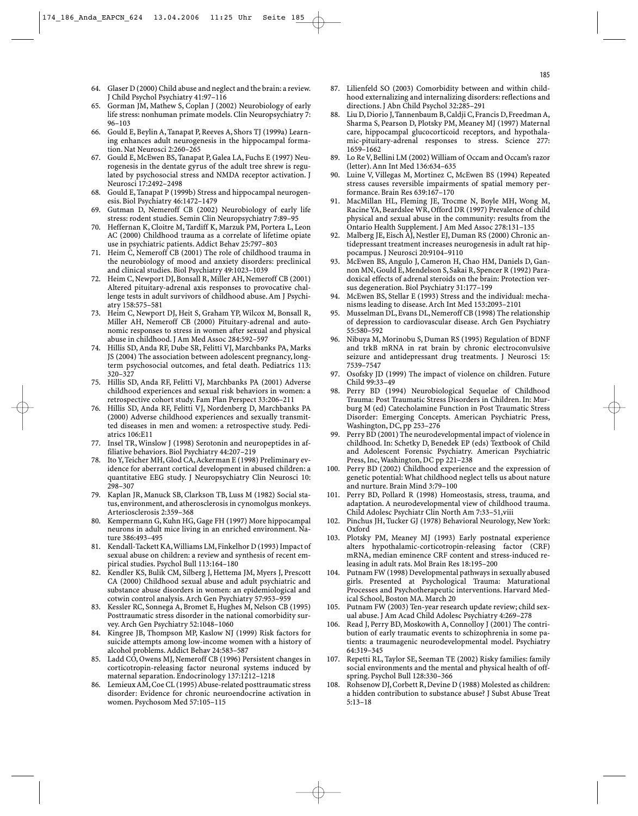- 64. Glaser D (2000) Child abuse and neglect and the brain: a review. J Child Psychol Psychiatry 41:97–116
- 65. Gorman JM, Mathew S, Coplan J (2002) Neurobiology of early life stress: nonhuman primate models. Clin Neuropsychiatry 7: 96–103
- 66. Gould E, Beylin A, Tanapat P, Reeves A, Shors TJ (1999a) Learning enhances adult neurogenesis in the hippocampal formation. Nat Neurosci 2:260–265
- 67. Gould E, McEwen BS, Tanapat P, Galea LA, Fuchs E (1997) Neurogenesis in the dentate gyrus of the adult tree shrew is regulated by psychosocial stress and NMDA receptor activation. J Neurosci 17:2492–2498
- 68. Gould E, Tanapat P (1999b) Stress and hippocampal neurogenesis. Biol Psychiatry 46:1472–1479
- 69. Gutman D, Nemeroff CB (2002) Neurobiology of early life stress: rodent studies. Semin Clin Neuropsychiatry 7:89–95
- 70. Heffernan K, Cloitre M, Tardiff K, Marzuk PM, Portera L, Leon AC (2000) Childhood trauma as a correlate of lifetime opiate use in psychiatric patients. Addict Behav 25:797–803
- 71. Heim C, Nemeroff CB (2001) The role of childhood trauma in the neurobiology of mood and anxiety disorders: preclinical and clinical studies. Biol Psychiatry 49:1023–1039
- 72. Heim C, Newport DJ, Bonsall R, Miller AH, Nemeroff CB (2001) Altered pituitary-adrenal axis responses to provocative challenge tests in adult survivors of childhood abuse. Am J Psychiatry 158:575–581
- 73. Heim C, Newport DJ, Heit S, Graham YP, Wilcox M, Bonsall R, Miller AH, Nemeroff CB (2000) Pituitary-adrenal and autonomic responses to stress in women after sexual and physical abuse in childhood. J Am Med Assoc 284:592–597
- 74. Hillis SD, Anda RF, Dube SR, Felitti VJ, Marchbanks PA, Marks JS (2004) The association between adolescent pregnancy, longterm psychosocial outcomes, and fetal death. Pediatrics 113: 320–327
- 75. Hillis SD, Anda RF, Felitti VJ, Marchbanks PA (2001) Adverse childhood experiences and sexual risk behaviors in women: a retrospective cohort study. Fam Plan Perspect 33:206–211
- 76. Hillis SD, Anda RF, Felitti VJ, Nordenberg D, Marchbanks PA (2000) Adverse childhood experiences and sexually transmitted diseases in men and women: a retrospective study. Pediatrics 106:E11
- 77. Insel TR, Winslow J (1998) Serotonin and neuropeptides in affiliative behaviors. Biol Psychiatry 44:207–219
- 78. Ito Y, Teicher MH, Glod CA,Ackerman E (1998) Preliminary evidence for aberrant cortical development in abused children: a quantitative EEG study. J Neuropsychiatry Clin Neurosci 10: 298–307
- 79. Kaplan JR, Manuck SB, Clarkson TB, Luss M (1982) Social status, environment, and atherosclerosis in cynomolgus monkeys. Arteriosclerosis 2:359–368
- 80. Kempermann G, Kuhn HG, Gage FH (1997) More hippocampal neurons in adult mice living in an enriched environment. Nature 386:493–495
- 81. Kendall-Tackett KA,Williams LM,Finkelhor D (1993) Impact of sexual abuse on children: a review and synthesis of recent empirical studies. Psychol Bull 113:164–180
- 82. Kendler KS, Bulik CM, Silberg J, Hettema JM, Myers J, Prescott CA (2000) Childhood sexual abuse and adult psychiatric and substance abuse disorders in women: an epidemiological and cotwin control analysis. Arch Gen Psychiatry 57:953–959
- 83. Kessler RC, Sonnega A, Bromet E, Hughes M, Nelson CB (1995) Posttraumatic stress disorder in the national comorbidity survey.Arch Gen Psychiatry 52:1048–1060
- 84. Kingree JB, Thompson MP, Kaslow NJ (1999) Risk factors for suicide attempts among low-income women with a history of alcohol problems. Addict Behav 24:583–587
- 85. Ladd CO, Owens MJ, Nemeroff CB (1996) Persistent changes in corticotropin-releasing factor neuronal systems induced by maternal separation. Endocrinology 137:1212–1218
- Lemieux AM, Coe CL (1995) Abuse-related posttraumatic stress disorder: Evidence for chronic neuroendocrine activation in women. Psychosom Med 57:105–115
- 87. Lilienfeld SO (2003) Comorbidity between and within childhood externalizing and internalizing disorders: reflections and directions. J Abn Child Psychol 32:285–291
- 88. Liu D, Diorio J, Tannenbaum B, Caldji C, Francis D, Freedman A, Sharma S, Pearson D, Plotsky PM, Meaney MJ (1997) Maternal care, hippocampal glucocorticoid receptors, and hypothalamic-pituitary-adrenal responses to stress. Science 277: 1659–1662
- 89. Lo Re V, Bellini LM (2002) William of Occam and Occam's razor (letter). Ann Int Med 136:634–635
- 90. Luine V, Villegas M, Mortinez C, McEwen BS (1994) Repeated stress causes reversible impairments of spatial memory performance. Brain Res 639:167–170
- 91. MacMillan HL, Fleming JE, Trocme N, Boyle MH, Wong M, Racine YA, Beardslee WR, Offord DR (1997) Prevalence of child physical and sexual abuse in the community: results from the Ontario Health Supplement. J Am Med Assoc 278:131–135
- 92. Malberg JE, Eisch AJ, Nestler EJ, Duman RS (2000) Chronic antidepressant treatment increases neurogenesis in adult rat hippocampus. J Neurosci 20:9104–9110
- 93. McEwen BS, Angulo J, Cameron H, Chao HM, Daniels D, Gannon MN, Gould E, Mendelson S, Sakai R, Spencer R (1992) Paradoxical effects of adrenal steroids on the brain: Protection versus degeneration. Biol Psychiatry 31:177–199
- 94. McEwen BS, Stellar E (1993) Stress and the individual: mechanisms leading to disease. Arch Int Med 153:2093–2101
- 95. Musselman DL, Evans DL, Nemeroff CB (1998) The relationship of depression to cardiovascular disease. Arch Gen Psychiatry 55:580–592
- 96. Nibuya M, Morinobu S, Duman RS (1995) Regulation of BDNF and trkB mRNA in rat brain by chronic electroconvulsive seizure and antidepressant drug treatments. J Neurosci 15: 7539–7547
- 97. Osofsky JD (1999) The impact of violence on children. Future Child 99:33–49
- 98. Perry BD (1994) Neurobiological Sequelae of Childhood Trauma: Post Traumatic Stress Disorders in Children. In: Murburg M (ed) Catecholamine Function in Post Traumatic Stress Disorder: Emerging Concepts. American Psychiatric Press, Washington, DC, pp 253–276
- 99. Perry BD (2001) The neurodevelopmental impact of violence in childhood. In: Schetky D, Benedek EP (eds) Textbook of Child and Adolescent Forensic Psychiatry. American Psychiatric Press, Inc, Washington, DC pp 221–238
- 100. Perry BD (2002) Childhood experience and the expression of genetic potential: What childhood neglect tells us about nature and nurture. Brain Mind 3:79–100
- 101. Perry BD, Pollard R (1998) Homeostasis, stress, trauma, and adaptation. A neurodevelopmental view of childhood trauma. Child Adolesc Psychiatr Clin North Am 7:33–51,viii
- 102. Pinchus JH, Tucker GJ (1978) Behavioral Neurology, New York: Oxford
- 103. Plotsky PM, Meaney MJ (1993) Early postnatal experience alters hypothalamic-corticotropin-releasing factor (CRF) mRNA, median eminence CRF content and stress-induced releasing in adult rats. Mol Brain Res 18:195–200
- 104. Putnam FW (1998) Developmental pathways in sexually abused girls. Presented at Psychological Trauma: Maturational Processes and Psychotherapeutic interventions. Harvard Medical School, Boston MA. March 20
- 105. Putnam FW (2003) Ten-year research update review; child sexual abuse. J Am Acad Child Adolesc Psychiatry 4:269–278
- 106. Read J, Perry BD, Moskowith A, Connolloy J (2001) The contribution of early traumatic events to schizophrenia in some patients: a traumagenic neurodevelopmental model. Psychiatry 64:319–345
- 107. Repetti RL, Taylor SE, Seeman TE (2002) Risky families: family social environments and the mental and physical health of offspring. Psychol Bull 128:330–366
- Rohsenow DJ, Corbett R, Devine D (1988) Molested as children: a hidden contribution to substance abuse? J Subst Abuse Treat 5:13–18